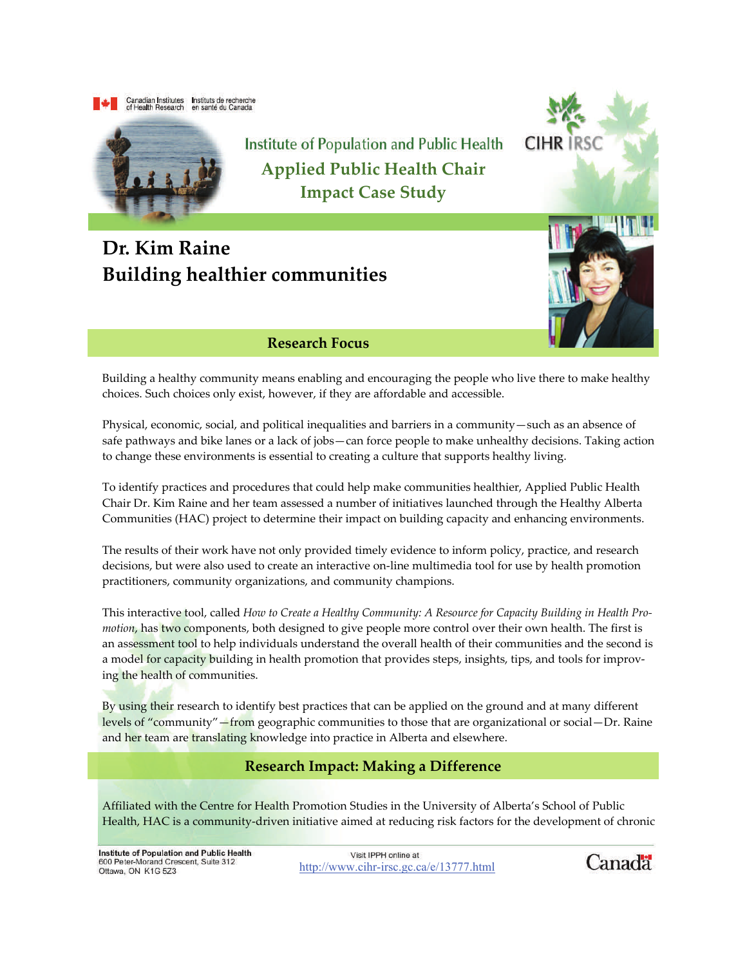



Institute of Population and Public Health **Applied Public Health Chair Impact Case Study**

# **Dr. Kim Raine Building healthier communities**



**CIHR** 

#### **Research Focus**

Building a healthy community means enabling and encouraging the people who live there to make healthy choices. Such choices only exist, however, if they are affordable and accessible.

Physical, economic, social, and political inequalities and barriers in a community—such as an absence of safe pathways and bike lanes or a lack of jobs—can force people to make unhealthy decisions. Taking action to change these environments is essential to creating a culture that supports healthy living.

To identify practices and procedures that could help make communities healthier, Applied Public Health Chair Dr. Kim Raine and her team assessed a number of initiatives launched through the Healthy Alberta Communities (HAC) project to determine their impact on building capacity and enhancing environments.

The results of their work have not only provided timely evidence to inform policy, practice, and research decisions, but were also used to create an interactive on‐line multimedia tool for use by health promotion practitioners, community organizations, and community champions.

This interactive tool, called *How to Create a Healthy Community: A Resource for Capacity Building in Health Pro‐ motion*, has two components, both designed to give people more control over their own health. The first is an assessment tool to help individuals understand the overall health of their communities and the second is a model for capacity building in health promotion that provides steps, insights, tips, and tools for improving the health of communities.

By using their research to identify best practices that can be applied on the ground and at many different levels of "community"—from geographic communities to those that are organizational or social—Dr. Raine and her team are translating knowledge into practice in Alberta and elsewhere.

### **Research Impact: Making a Difference**

Affiliated with the Centre for Health Promotion Studies in the University of Alberta's School of Public Health, HAC is a community-driven initiative aimed at reducing risk factors for the development of chronic